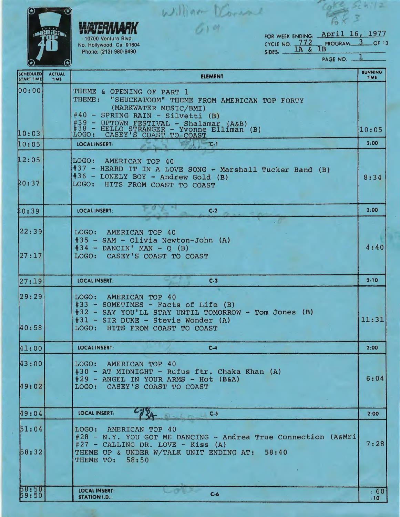|                                | (A)                   | William Voren                                                                                                                                                                                                                                                         |                        |
|--------------------------------|-----------------------|-----------------------------------------------------------------------------------------------------------------------------------------------------------------------------------------------------------------------------------------------------------------------|------------------------|
|                                |                       | FOR WEEK ENDING: April 16, 1977<br>10700 Ventura Blvd.<br>PROGRAM <sub>3</sub><br>CYCLE NO. 772<br>No. Hollywood, Ca. 91604<br>1B<br>$1A \&$<br>$SIDES:$ $\rightarrow$<br>Phone: (213) 980-9490                                                                       | OF 13                  |
|                                |                       | PAGE NO. .                                                                                                                                                                                                                                                            |                        |
| SCHEDULED<br><b>START TIME</b> | <b>ACTUAL</b><br>TIME | <b>ELEMENT</b>                                                                                                                                                                                                                                                        | <b>RUNNING</b><br>TIME |
| 00:00<br>10:03                 |                       | THEME & OPENING OF PART 1<br>THEME:<br>"SHUCKATOOM" THEME FROM AMERICAN TOP FORTY<br>(MARKWATER MUSIC/BMI)<br>#40 - SPRING RAIN - Silvetti (B)<br>#39 - UPTOWN FESTIVAL - Shalamar (A&B)<br>#38 - HELLO STRANGER - Yvonne Elliman (B)<br>LOGO: CASEY'S COAST TO COAST | 10:05                  |
| 10:05                          |                       | LOCAL INSERT:<br>$T - 1$                                                                                                                                                                                                                                              | 2:00                   |
| 12:05<br>20:37                 |                       | LOGO:<br>AMERICAN TOP 40<br>#37 - HEARD IT IN A LOVE SONG - Marshall Tucker Band (B)<br>#36 - LONELY BOY - Andrew Gold (B)<br>LOGO:<br>HITS FROM COAST TO COAST                                                                                                       | 8:34                   |
| 20:39                          |                       | <b>LOCAL INSERT:</b><br>$C-2$                                                                                                                                                                                                                                         | 2:00                   |
| 22:39 <br>27:17                |                       | AMERICAN TOP 40<br>LOGO:<br>#35 - SAM - Olivia Newton-John (A)<br>$#34 - DANCIN' MAN - Q (B)$<br>CASEY'S COAST TO COAST<br>LOGO:                                                                                                                                      | 4:40                   |
| 27:19                          |                       | <b>LOCAL INSERT:</b><br>$C-3$                                                                                                                                                                                                                                         | 2:10                   |
| 29:29<br>40:58                 |                       | LOGO: AMERICAN TOP 40<br>#33 - SOMETIMES - Facts of Life (B)<br>#32 - SAY YOU'LL STAY UNTIL TOMORROW - Tom Jones (B)<br>#31 - SIR DUKE - Stevie Wonder (A)<br>LOGO: HITS FROM COAST TO COAST                                                                          | 11:31                  |
| 41:00                          |                       | <b>LOCAL INSERT:</b><br>$C-4$                                                                                                                                                                                                                                         | 2:00                   |
| 43:00<br>49:02                 |                       | AMERICAN TOP 40<br>LOGO:<br>#30 - AT MIDNIGHT - Rufus ftr. Chaka Khan (A)<br>#29 - ANGEL IN YOUR ARMS - Hot (B&A)<br>CASEY'S COAST TO COAST<br>LOGO:                                                                                                                  | 6:04                   |
| 49:04                          |                       | LOCAL INSERT:<br>$C-5$                                                                                                                                                                                                                                                | 2:00                   |
| 51:04<br>58:32                 |                       | LOGO: AMERICAN TOP 40<br>#28 - N.Y. YOU GOT ME DANCING - Andrea True Connection (A&Mri)<br>$#27$ - CALLING DR. LOVE - Kiss (A)<br>THEME UP & UNDER W/TALK UNIT ENDING AT:<br>58:40<br><b>THEME TO: 58:50</b>                                                          | 7:28                   |
| 58:50<br>59:50                 |                       | <b>LOCAL INSERT:</b><br>$C - 6$<br><b>STATION I.D.:</b>                                                                                                                                                                                                               | .60<br>:10             |

┚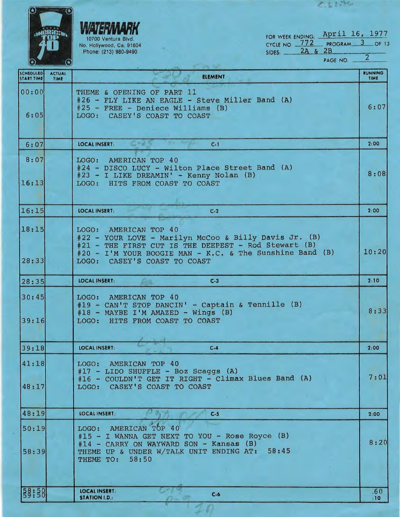|                                       |                       | FOR WEEK ENDING: April 16, 1977<br>10700 Ventura Blvd.<br>CYCLE NO. 772 PROGRAM 3 OF 13<br>No. Hollywood, Ca. 91604<br>2A & 2B<br>Phone: (213) 980-9490<br>SIDES:<br>PAGE NO. .                                                          | $\overline{2}$         |
|---------------------------------------|-----------------------|------------------------------------------------------------------------------------------------------------------------------------------------------------------------------------------------------------------------------------------|------------------------|
| <b>SCHEDULED</b><br><b>START TIME</b> | <b>ACTUAL</b><br>TIME | <b>ELEMENT</b>                                                                                                                                                                                                                           | <b>RUNNING</b><br>TIME |
| 00:00<br>6:05                         |                       | THEME & OPENING OF PART 11<br>#26 - FLY LIKE AN EAGLE - Steve Miller Band (A)<br>$#25$ - FREE - Deniece Williams (B)<br>LOGO: CASEY'S COAST TO COAST                                                                                     | 6:07                   |
| 6:07                                  |                       | <b>LOCAL INSERT:</b><br>$C-1$                                                                                                                                                                                                            | 2:00                   |
| 8:07                                  |                       | AMERICAN TOP 40<br>LOGO:<br>#24 - DISCO LUCY - Wilton Place Street Band (A)<br>#23 - I LIKE DREAMIN' - Kenny Nolan (B)                                                                                                                   | 8:08                   |
| 16:13                                 |                       | HITS FROM COAST TO COAST<br>LOGO:                                                                                                                                                                                                        |                        |
| 16:15                                 |                       | <b>LOCAL INSERT:</b><br>$C-2$                                                                                                                                                                                                            | 2:00                   |
| 18:15<br>28:33                        |                       | AMERICAN TOP 40<br>LOGO:<br>#22 - YOUR LOVE - Marilyn McCoo & Billy Davis Jr. (B)<br>#21 - THE FIRST CUT IS THE DEEPEST - Rod Stewart (B)<br>#20 - I'M YOUR BOOGIE MAN - K.C. & The Sunshine Band (B)<br>CASEY'S COAST TO COAST<br>LOGO: | 10:20                  |
| 28:35                                 |                       | <b>LOCAL INSERT:</b><br>$C-3$                                                                                                                                                                                                            | 2:10                   |
| 30:45<br>39:16                        |                       | AMERICAN TOP 40<br>LOGO:<br>#19 - CAN'T STOP DANCIN' - Captain & Tennille (B)<br>#18 - MAYBE I'M AMAZED - Wings (B)<br>HITS FROM COAST TO COAST<br>LOGO:                                                                                 | 8:33                   |
| 39:18                                 |                       | LOCAL INSERT:<br>$C-4$                                                                                                                                                                                                                   | 2:00                   |
| 41:18<br>48:17                        |                       | AMERICAN TOP 40<br>LOGO:<br>$#17$ - LIDO SHUFFLE - Boz Scaggs $(A)$<br>#16 - COULDN'T GET IT RIGHT - Climax Blues Band (A)<br>CASEY'S COAST TO COAST<br>LOGO:                                                                            | 7:01                   |
| 48:19                                 |                       | <b>LOCAL INSERT:</b><br>$C-5$                                                                                                                                                                                                            | 2:00                   |
| 50:19<br>58:39                        |                       | LOGO: AMERICAN TOP 40<br>#15 - I WANNA GET NEXT TO YOU - Rose Royce (B)<br>#14 - CARRY ON WAYWARD SON - Kansas (B)<br>58:45<br>THEME UP & UNDER W/TALK UNIT ENDING AT:<br>58:50<br>THEME TO:                                             | 8:20                   |
| $\frac{58:58}{59:58}$                 |                       | LOCAL INSERT:<br>$C-6$<br><b>STATION I.D.:</b>                                                                                                                                                                                           | .60<br>$:10^{-}$       |

 $\sqrt{2}$ 

--

 $\overline{\phantom{a}}$ 

C.Linte